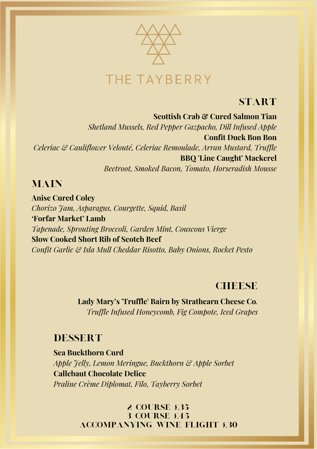

## **START**

**Scottish Crab & Cured Salmon Tian** *Shetland Mussels, Red Pepper Gazpacho, Dill Infused Apple* **Confit Duck Bon Bon** *Celeriac & Cauliflower Velouté, Celeriac Remoulade, Arran Mustard, Truffle* **BBQ 'Line Caught' Mackerel** *Beetroot, Smoked Bacon, Tomato, Horseradish Mousse*

## **MAIN**

**Anise Cured Coley** *Chorizo Jam, Asparagus, Courgette, Squid, Basil* **'Forfar Market' Lamb** *Tapenade, Sprouting Broccoli, Garden Mint, Couscous Vierge* **Slow Cooked Short Rib of Scotch Beef** *Confit Garlic & Isla Mull Cheddar Risotto, Baby Onions, Rocket Pesto*

## **CHEESE**

**Lady Mary's 'Truffle' Bairn by Strathearn Cheese Co***. Truffle Infused Honeycomb, Fig Compote, Iced Grapes*

## DESSERT

**Sea Buckthorn Curd** *Apple Jelly, Lemon Meringue, Buckthorn & Apple Sorbet* **Callebaut Chocolate Delice** *Praline Crème Diplomat, Filo, Tayberry Sorbet*

> 2 COURSE £35 3 Course £45 Accompanying Wine Flight £30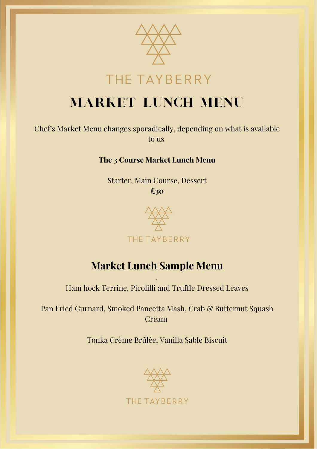

# THE TAYBERRY

# MARKET LUNCH MENU

Chef's Market Menu changes sporadically, depending on what is available to us

#### **The 3 Course Market Lunch Menu**

Starter, Main Course, Dessert **£30**



## **Market Lunch Sample Menu**

. Ham hock Terrine, Picolilli and Truffle Dressed Leaves

Pan Fried Gurnard, Smoked Pancetta Mash, Crab & Butternut Squash Cream

Tonka Crème Brûlée, Vanilla Sable Biscuit

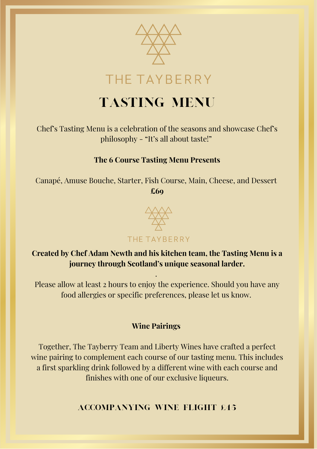

# TASTING MENU

Chef's Tasting Menu is a celebration of the seasons and showcase Chef's philosophy - "It's all about taste!"

#### **The 6 Course Tasting Menu Presents**

Canapé, Amuse Bouche, Starter, Fish Course, Main, Cheese, and Dessert **£69**



### **Created by Chef Adam Newth and his kitchen team, the Tasting Menu is a journey through Scotland's unique seasonal larder.**

Please allow at least 2 hours to enjoy the experience. Should you have any food allergies or specific preferences, please let us know.

.

#### **Wine Pairings**

Together, The Tayberry Team and Liberty Wines have crafted a perfect wine pairing to complement each course of our tasting menu. This includes a first sparkling drink followed by a different wine with each course and finishes with one of our exclusive liqueurs.

Accompanying Wine Flight £45